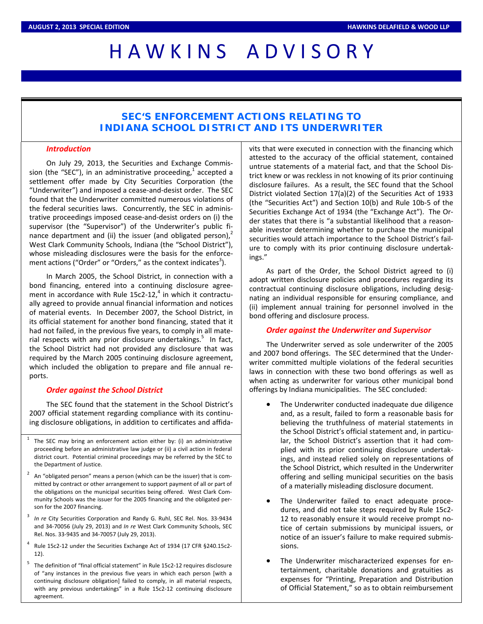# H A W K I N S A D V I S O R Y

# **SEC'S ENFORCEMENT ACTIONS RELATING TO INDIANA SCHOOL DISTRICT AND ITS UNDERWRITER**

## *Introduction*

On July 29, 2013, the Securities and Exchange Commis‐ sion (the "SEC"), in an administrative proceeding, $<sup>1</sup>$  accepted a</sup> settlement offer made by City Securities Corporation (the "Underwriter") and imposed a cease‐and‐desist order. The SEC found that the Underwriter committed numerous violations of the federal securities laws. Concurrently, the SEC in adminis‐ trative proceedings imposed cease‐and‐desist orders on (i) the supervisor (the "Supervisor") of the Underwriter's public finance department and (ii) the issuer (and obligated person), $\lambda$ West Clark Community Schools, Indiana (the "School District"), whose misleading disclosures were the basis for the enforce‐ ment actions ("Order" or "Orders," as the context indicates<sup>3</sup>).

In March 2005, the School District, in connection with a bond financing, entered into a continuing disclosure agree‐ ment in accordance with Rule 15c2-12, $<sup>4</sup>$  in which it contractu-</sup> ally agreed to provide annual financial information and notices of material events. In December 2007, the School District, in its official statement for another bond financing, stated that it had not failed, in the previous five years, to comply in all mate‐ rial respects with any prior disclosure undertakings.<sup>5</sup> In fact, the School District had not provided any disclosure that was required by the March 2005 continuing disclosure agreement, which included the obligation to prepare and file annual re‐ ports.

### *Order against the School District*

The SEC found that the statement in the School District's 2007 official statement regarding compliance with its continu‐ ing disclosure obligations, in addition to certificates and affida‐

- The SEC may bring an enforcement action either by: (i) an administrative proceeding before an administrative law judge or (ii) a civil action in federal district court. Potential criminal proceedings may be referred by the SEC to the Department of Justice.
- An "obligated person" means a person (which can be the issuer) that is committed by contract or other arrangement to support payment of all or part of the obligations on the municipal securities being offered. West Clark Com‐ munity Schools was the issuer for the 2005 financing and the obligated per‐ son for the 2007 financing.
- In re City Securities Corporation and Randy G. Ruhl, SEC Rel. Nos. 33-9434 and 34‐70056 (July 29, 2013) and *In re* West Clark Community Schools, SEC Rel. Nos. 33‐9435 and 34‐70057 (July 29, 2013).
- <sup>4</sup> Rule 15c2‐12 under the Securities Exchange Act of 1934 (17 CFR §240.15c2‐ 12).
- The definition of "final official statement" in Rule 15c2-12 requires disclosure of "any instances in the previous five years in which each person [with a continuing disclosure obligation] failed to comply, in all material respects, with any previous undertakings" in a Rule 15c2-12 continuing disclosure agreement.

vits that were executed in connection with the financing which attested to the accuracy of the official statement, contained untrue statements of a material fact, and that the School Dis‐ trict knew or was reckless in not knowing of its prior continuing disclosure failures. As a result, the SEC found that the School District violated Section 17(a)(2) of the Securities Act of 1933 (the "Securities Act") and Section 10(b) and Rule 10b‐5 of the Securities Exchange Act of 1934 (the "Exchange Act"). The Or‐ der states that there is "a substantial likelihood that a reason‐ able investor determining whether to purchase the municipal securities would attach importance to the School District's fail‐ ure to comply with its prior continuing disclosure undertak‐ ings."

As part of the Order, the School District agreed to (i) adopt written disclosure policies and procedures regarding its contractual continuing disclosure obligations, including desig‐ nating an individual responsible for ensuring compliance, and (ii) implement annual training for personnel involved in the bond offering and disclosure process.

### *Order against the Underwriter and Supervisor*

The Underwriter served as sole underwriter of the 2005 and 2007 bond offerings. The SEC determined that the Under‐ writer committed multiple violations of the federal securities laws in connection with these two bond offerings as well as when acting as underwriter for various other municipal bond offerings by Indiana municipalities. The SEC concluded:

- The Underwriter conducted inadequate due diligence and, as a result, failed to form a reasonable basis for believing the truthfulness of material statements in the School District's official statement and, in particu‐ lar, the School District's assertion that it had com‐ plied with its prior continuing disclosure undertak‐ ings, and instead relied solely on representations of the School District, which resulted in the Underwriter offering and selling municipal securities on the basis of a materially misleading disclosure document.
- The Underwriter failed to enact adequate proce‐ dures, and did not take steps required by Rule 15c2‐ 12 to reasonably ensure it would receive prompt no‐ tice of certain submissions by municipal issuers, or notice of an issuer's failure to make required submis‐ sions.
- The Underwriter mischaracterized expenses for entertainment, charitable donations and gratuities as expenses for "Printing, Preparation and Distribution of Official Statement," so as to obtain reimbursement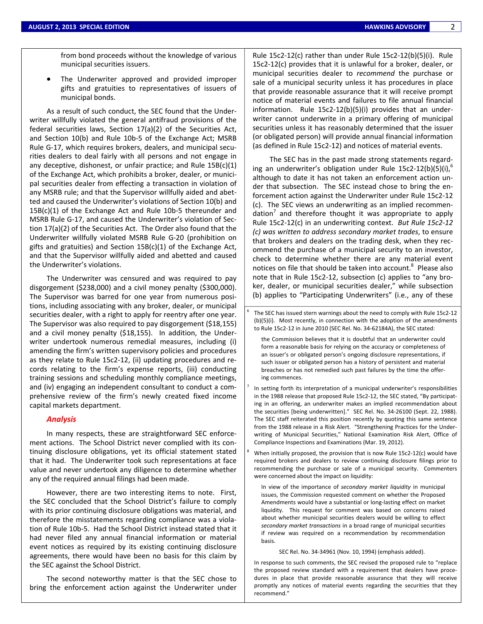from bond proceeds without the knowledge of various municipal securities issuers.

 The Underwriter approved and provided improper gifts and gratuities to representatives of issuers of municipal bonds.

As a result of such conduct, the SEC found that the Under‐ writer willfully violated the general antifraud provisions of the federal securities laws, Section 17(a)(2) of the Securities Act, and Section 10(b) and Rule 10b‐5 of the Exchange Act; MSRB Rule G-17, which requires brokers, dealers, and municipal securities dealers to deal fairly with all persons and not engage in any deceptive, dishonest, or unfair practice; and Rule 15B(c)(1) of the Exchange Act, which prohibits a broker, dealer, or munici‐ pal securities dealer from effecting a transaction in violation of any MSRB rule; and that the Supervisor willfully aided and abet‐ ted and caused the Underwriter's violations of Section 10(b) and 15B(c)(1) of the Exchange Act and Rule 10b‐5 thereunder and MSRB Rule G‐17, and caused the Underwriter's violation of Sec‐ tion 17(a)(2) of the Securities Act. The Order also found that the Underwriter willfully violated MSRB Rule G‐20 (prohibition on gifts and gratuities) and Section 15B(c)(1) of the Exchange Act, and that the Supervisor willfully aided and abetted and caused the Underwriter's violations.

The Underwriter was censured and was required to pay disgorgement (\$238,000) and a civil money penalty (\$300,000). The Supervisor was barred for one year from numerous posi‐ tions, including associating with any broker, dealer, or municipal securities dealer, with a right to apply for reentry after one year. The Supervisor was also required to pay disgorgement (\$18,155) and a civil money penalty (\$18,155). In addition, the Underwriter undertook numerous remedial measures, including (i) amending the firm's written supervisory policies and procedures as they relate to Rule 15c2‐12, (ii) updating procedures and re‐ cords relating to the firm's expense reports, (iii) conducting training sessions and scheduling monthly compliance meetings, and (iv) engaging an independent consultant to conduct a com‐ prehensive review of the firm's newly created fixed income capital markets department.

#### *Analysis*

In many respects, these are straightforward SEC enforce‐ ment actions. The School District never complied with its continuing disclosure obligations, yet its official statement stated that it had. The Underwriter took such representations at face value and never undertook any diligence to determine whether any of the required annual filings had been made.

However, there are two interesting items to note. First, the SEC concluded that the School District's failure to comply with its prior continuing disclosure obligations was material, and therefore the misstatements regarding compliance was a viola‐ tion of Rule 10b‐5. Had the School District instead stated that it had never filed any annual financial information or material event notices as required by its existing continuing disclosure agreements, there would have been no basis for this claim by the SEC against the School District.

The second noteworthy matter is that the SEC chose to bring the enforcement action against the Underwriter under Rule 15c2‐12(c) rather than under Rule 15c2‐12(b)(5)(i). Rule 15c2‐12(c) provides that it is unlawful for a broker, dealer, or municipal securities dealer to *recommend* the purchase or sale of a municipal security unless it has procedures in place that provide reasonable assurance that it will receive prompt notice of material events and failures to file annual financial information. Rule 15c2-12(b)(5)(i) provides that an underwriter cannot underwrite in a primary offering of municipal securities unless it has reasonably determined that the issuer (or obligated person) will provide annual financial information (as defined in Rule 15c2‐12) and notices of material events.

The SEC has in the past made strong statements regard‐ ing an underwriter's obligation under Rule 15c2-12(b)(5)(i), $^6$ although to date it has not taken an enforcement action un‐ der that subsection. The SEC instead chose to bring the en‐ forcement action against the Underwriter under Rule 15c2‐12 (c). The SEC views an underwriting as an implied recommen‐ dation<sup> $\prime$ </sup> and therefore thought it was appropriate to apply Rule 15c2‐12(c) in an underwriting context. *But Rule 15c2‐12 (c) was written to address secondary market trades*, to ensure that brokers and dealers on the trading desk, when they rec‐ ommend the purchase of a municipal security to an investor, check to determine whether there are any material event notices on file that should be taken into account.<sup>8</sup> Please also note that in Rule 15c2-12, subsection (c) applies to "any broker, dealer, or municipal securities dealer," while subsection (b) applies to "Participating Underwriters" (i.e., any of these

The SEC has issued stern warnings about the need to comply with Rule 15c2-12 (b)(5)(i). Most recently, in connection with the adoption of the amendments to Rule 15c2‐12 in June 2010 (SEC Rel. No. 34‐62184A), the SEC stated:

the Commission believes that it is doubtful that an underwriter could form a reasonable basis for relying on the accuracy or completeness of an issuer's or obligated person's ongoing disclosure representations, if such issuer or obligated person has a history of persistent and material breaches or has not remedied such past failures by the time the offer‐ ing commences.

- In setting forth its interpretation of a municipal underwriter's responsibilities in the 1988 release that proposed Rule 15c2‐12, the SEC stated, "By participat‐ ing in an offering, an underwriter makes an implied recommendation about the securities [being underwritten]." SEC Rel. No. 34‐26100 (Sept. 22, 1988). The SEC staff reiterated this position recently by quoting this same sentence from the 1988 release in a Risk Alert. "Strengthening Practices for the Under‐ writing of Municipal Securities," National Examination Risk Alert, Office of Compliance Inspections and Examinations (Mar. 19, 2012).
- When initially proposed, the provision that is now Rule 15c2-12(c) would have required brokers and dealers to review continuing disclosure filings prior to recommending the purchase or sale of a municipal security. Commenters were concerned about the impact on liquidity:
	- In view of the importance of *secondary market liquidity* in municipal issues, the Commission requested comment on whether the Proposed Amendments would have a substantial or long‐lasting effect on market liquidity. This request for comment was based on concerns raised about whether municipal securities dealers would be willing to effect *secondary market transactions* in a broad range of municipal securities if review was required on a recommendation by recommendation basis.

SEC Rel. No. 34‐34961 (Nov. 10, 1994) (emphasis added).

In response to such comments, the SEC revised the proposed rule to "replace the proposed review standard with a requirement that dealers have proce‐ dures in place that provide reasonable assurance that they will receive promptly any notices of material events regarding the securities that they recommend."